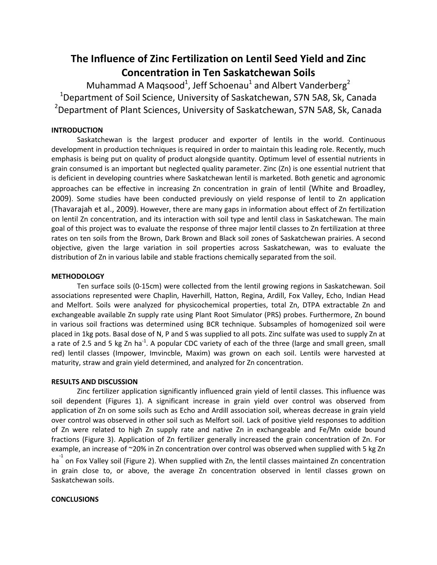# **The Influence of Zinc Fertilization on Lentil Seed Yield and Zinc Concentration in Ten Saskatchewan Soils**

Muhammad A Maqsood<sup>1</sup>, Jeff Schoenau<sup>1</sup> and Albert Vanderberg<sup>2</sup> <sup>1</sup>Department of Soil Science, University of Saskatchewan, S7N 5A8, Sk, Canada <sup>2</sup>Department of Plant Sciences, University of Saskatchewan, S7N 5A8, Sk, Canada

## **INTRODUCTION**

Saskatchewan is the largest producer and exporter of lentils in the world. Continuous development in production techniques is required in order to maintain this leading role. Recently, much emphasis is being put on quality of product alongside quantity. Optimum level of essential nutrients in grain consumed is an important but neglected quality parameter. Zinc (Zn) is one essential nutrient that is deficient in developing countries where Saskatchewan lentil is marketed. Both genetic and agronomic approaches can be effective in increasing Zn concentration in grain of lentil (White and Broadley, 2009). Some studies have been conducted previously on yield response of lentil to Zn application (Thavarajah et al., 2009). However, there are many gaps in information about effect of Zn fertilization on lentil Zn concentration, and its interaction with soil type and lentil class in Saskatchewan. The main goal of this project was to evaluate the response of three major lentil classes to Zn fertilization at three rates on ten soils from the Brown, Dark Brown and Black soil zones of Saskatchewan prairies. A second objective, given the large variation in soil properties across Saskatchewan, was to evaluate the distribution of Zn in various labile and stable fractions chemically separated from the soil.

#### **METHODOLOGY**

Ten surface soils (0-15cm) were collected from the lentil growing regions in Saskatchewan. Soil associations represented were Chaplin, Haverhill, Hatton, Regina, Ardill, Fox Valley, Echo, Indian Head and Melfort. Soils were analyzed for physicochemical properties, total Zn, DTPA extractable Zn and exchangeable available Zn supply rate using Plant Root Simulator (PRS) probes. Furthermore, Zn bound in various soil fractions was determined using BCR technique. Subsamples of homogenized soil were placed in 1kg pots. Basal dose of N, P and S was supplied to all pots. Zinc sulfate was used to supply Zn at a rate of 2.5 and 5 kg Zn ha<sup>-1</sup>. A popular CDC variety of each of the three (large and small green, small red) lentil classes (Impower, Imvincble, Maxim) was grown on each soil. Lentils were harvested at maturity, straw and grain yield determined, and analyzed for Zn concentration.

## **RESULTS AND DISCUSSION**

Zinc fertilizer application significantly influenced grain yield of lentil classes. This influence was soil dependent (Figures 1). A significant increase in grain yield over control was observed from application of Zn on some soils such as Echo and Ardill association soil, whereas decrease in grain yield over control was observed in other soil such as Melfort soil. Lack of positive yield responses to addition of Zn were related to high Zn supply rate and native Zn in exchangeable and Fe/Mn oxide bound fractions (Figure 3). Application of Zn fertilizer generally increased the grain concentration of Zn. For example, an increase of ~20% in Zn concentration over control was observed when supplied with 5 kg Zn

ha<sup>-1</sup> on Fox Valley soil (Figure 2). When supplied with Zn, the lentil classes maintained Zn concentration in grain close to, or above, the average Zn concentration observed in lentil classes grown on Saskatchewan soils.

#### **CONCLUSIONS**